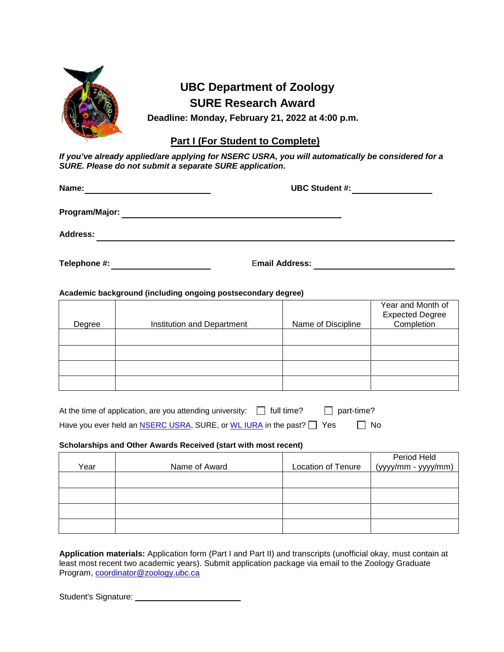

## **UBC Department of Zoology SURE Research Award**

**Deadline: Monday, February 21, 2022 at 4:00 p.m.**

## **Part I (For Student to Complete)**

*If you've already applied/are applying for NSERC USRA, you will automatically be considered for a SURE. Please do not submit a separate SURE application.*

| Name:           | <b>UBC Student #:</b> |  |
|-----------------|-----------------------|--|
| Program/Major:  |                       |  |
| <b>Address:</b> |                       |  |
| Telephone #:    | <b>Email Address:</b> |  |

**Academic background (including ongoing postsecondary degree)**

|        |                            |                    | Year and Month of      |
|--------|----------------------------|--------------------|------------------------|
|        |                            |                    | <b>Expected Degree</b> |
| Degree | Institution and Department | Name of Discipline | Completion             |
|        |                            |                    |                        |
|        |                            |                    |                        |
|        |                            |                    |                        |
|        |                            |                    |                        |
|        |                            |                    |                        |
|        |                            |                    |                        |
|        |                            |                    |                        |

| At the time of application, are you attending university: $\Box$ full time?        | $\Box$ part-time? |           |
|------------------------------------------------------------------------------------|-------------------|-----------|
| Have you ever held an <b>NSERC USRA</b> , SURE, or WL IURA in the past? $\Box$ Yes |                   | $\Box$ No |

## **Scholarships and Other Awards Received (start with most recent)**

|      |               |                           | Period Held         |
|------|---------------|---------------------------|---------------------|
| Year | Name of Award | <b>Location of Tenure</b> | (yyyy/mm - yyyy/mm) |
|      |               |                           |                     |
|      |               |                           |                     |
|      |               |                           |                     |
|      |               |                           |                     |
|      |               |                           |                     |
|      |               |                           |                     |
|      |               |                           |                     |

**Application materials:** Application form (Part I and Part II) and transcripts (unofficial okay, must contain at least most recent two academic years). Submit application package via email to the Zoology Graduate Program, [coordinator@zoology.ubc.ca](mailto:coordinator@zoology.ubc.ca)

Student's Signature: \_\_\_\_\_\_\_\_\_\_\_\_\_\_\_\_\_\_\_\_\_\_\_